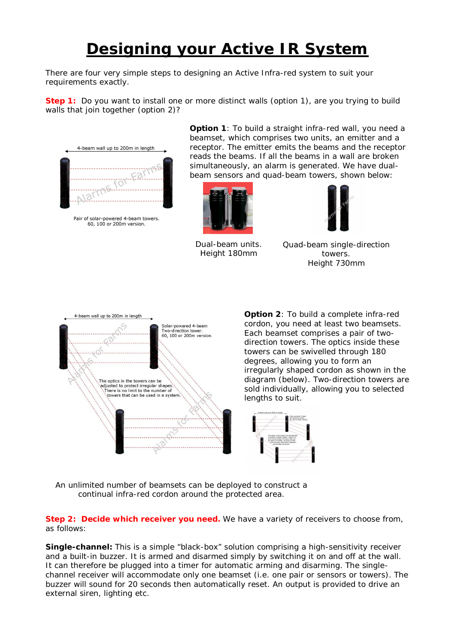## **Designing your Active IR System**

There are four very simple steps to designing an Active Infra-red system to suit your requirements exactly.

**Step 1:** Do you want to install one or more distinct walls (option 1), are you trying to build walls that join together (option 2)?



Pair of solar-powered 4-beam towers.<br>60, 100 or 200m version.

**Option 1**: To build a straight infra-red wall, you need a beamset, which comprises two units, an emitter and a receptor. The emitter emits the beams and the receptor reads the beams. If all the beams in a wall are broken simultaneously, an alarm is generated. We have dualbeam sensors and quad-beam towers, shown below:



Dual-beam units. Height 180mm



Quad-beam single-direction towers. Height 730mm



**Option 2**: To build a complete infra-red cordon, you need at least two beamsets. Each beamset comprises a pair of twodirection towers. The optics inside these towers can be swivelled through 180 degrees, allowing you to form an irregularly shaped cordon as shown in the diagram (below). Two-direction towers are sold individually, allowing you to selected lengths to suit.



An unlimited number of beamsets can be deployed to construct a continual infra-red cordon around the protected area.

**Step 2: Decide which receiver you need.** We have a variety of receivers to choose from, as follows:

**Single-channel:** This is a simple "black-box" solution comprising a high-sensitivity receiver and a built-in buzzer. It is armed and disarmed simply by switching it on and off at the wall. It can therefore be plugged into a timer for automatic arming and disarming. The singlechannel receiver will accommodate only one beamset (i.e. one pair or sensors or towers). The buzzer will sound for 20 seconds then automatically reset. An output is provided to drive an external siren, lighting etc.